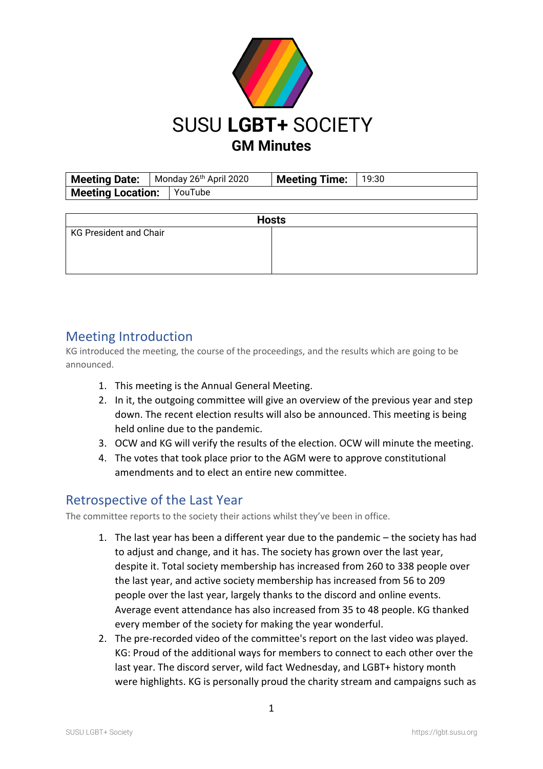

**Meeting Date:** | Monday 26<sup>th</sup> April 2020 | **Meeting Time:** | 19:30 **Meeting Location:** YouTube

| <b>Hosts</b>                  |  |
|-------------------------------|--|
| <b>KG President and Chair</b> |  |
|                               |  |
|                               |  |
|                               |  |

#### Meeting Introduction

KG introduced the meeting, the course of the proceedings, and the results which are going to be announced.

- 1. This meeting is the Annual General Meeting.
- 2. In it, the outgoing committee will give an overview of the previous year and step down. The recent election results will also be announced. This meeting is being held online due to the pandemic.
- 3. OCW and KG will verify the results of the election. OCW will minute the meeting.
- 4. The votes that took place prior to the AGM were to approve constitutional amendments and to elect an entire new committee.

#### Retrospective of the Last Year

The committee reports to the society their actions whilst they've been in office.

- 1. The last year has been a different year due to the pandemic the society has had to adjust and change, and it has. The society has grown over the last year, despite it. Total society membership has increased from 260 to 338 people over the last year, and active society membership has increased from 56 to 209 people over the last year, largely thanks to the discord and online events. Average event attendance has also increased from 35 to 48 people. KG thanked every member of the society for making the year wonderful.
- 2. The pre-recorded video of the committee's report on the last video was played. KG: Proud of the additional ways for members to connect to each other over the last year. The discord server, wild fact Wednesday, and LGBT+ history month were highlights. KG is personally proud the charity stream and campaigns such as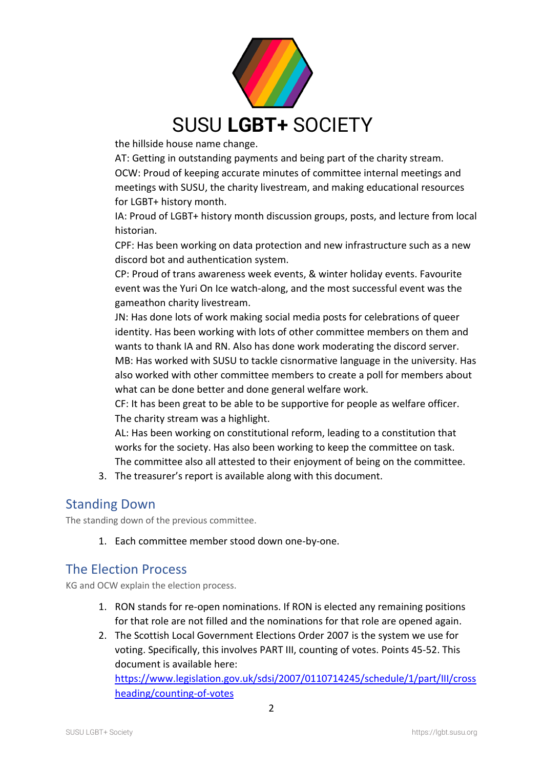

the hillside house name change.

AT: Getting in outstanding payments and being part of the charity stream. OCW: Proud of keeping accurate minutes of committee internal meetings and meetings with SUSU, the charity livestream, and making educational resources for LGBT+ history month.

IA: Proud of LGBT+ history month discussion groups, posts, and lecture from local historian.

CPF: Has been working on data protection and new infrastructure such as a new discord bot and authentication system.

CP: Proud of trans awareness week events, & winter holiday events. Favourite event was the Yuri On Ice watch-along, and the most successful event was the gameathon charity livestream.

JN: Has done lots of work making social media posts for celebrations of queer identity. Has been working with lots of other committee members on them and wants to thank IA and RN. Also has done work moderating the discord server. MB: Has worked with SUSU to tackle cisnormative language in the university. Has also worked with other committee members to create a poll for members about what can be done better and done general welfare work.

CF: It has been great to be able to be supportive for people as welfare officer. The charity stream was a highlight.

AL: Has been working on constitutional reform, leading to a constitution that works for the society. Has also been working to keep the committee on task. The committee also all attested to their enjoyment of being on the committee.

3. The treasurer's report is available along with this document.

#### Standing Down

The standing down of the previous committee.

1. Each committee member stood down one-by-one.

#### The Election Process

KG and OCW explain the election process.

- 1. RON stands for re-open nominations. If RON is elected any remaining positions for that role are not filled and the nominations for that role are opened again.
- 2. The Scottish Local Government Elections Order 2007 is the system we use for voting. Specifically, this involves PART III, counting of votes. Points 45-52. This document is available here: [https://www.legislation.gov.uk/sdsi/2007/0110714245/schedule/1/part/III/cross](https://www.legislation.gov.uk/sdsi/2007/0110714245/schedule/1/part/III/crossheading/counting-of-votes)

[heading/counting-of-votes](https://www.legislation.gov.uk/sdsi/2007/0110714245/schedule/1/part/III/crossheading/counting-of-votes)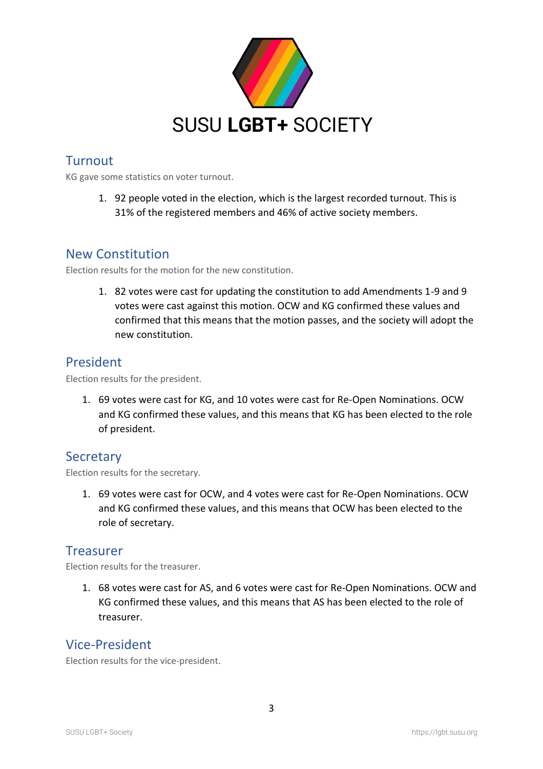

## **Turnout**

KG gave some statistics on voter turnout.

1. 92 people voted in the election, which is the largest recorded turnout. This is 31% of the registered members and 46% of active society members.

#### New Constitution

Election results for the motion for the new constitution.

1. 82 votes were cast for updating the constitution to add Amendments 1-9 and 9 votes were cast against this motion. OCW and KG confirmed these values and confirmed that this means that the motion passes, and the society will adopt the new constitution.

#### President

Election results for the president.

1. 69 votes were cast for KG, and 10 votes were cast for Re-Open Nominations. OCW and KG confirmed these values, and this means that KG has been elected to the role of president.

#### **Secretary**

Election results for the secretary.

1. 69 votes were cast for OCW, and 4 votes were cast for Re-Open Nominations. OCW and KG confirmed these values, and this means that OCW has been elected to the role of secretary.

#### **Treasurer**

Election results for the treasurer.

1. 68 votes were cast for AS, and 6 votes were cast for Re-Open Nominations. OCW and KG confirmed these values, and this means that AS has been elected to the role of treasurer.

#### Vice-President

Election results for the vice-president.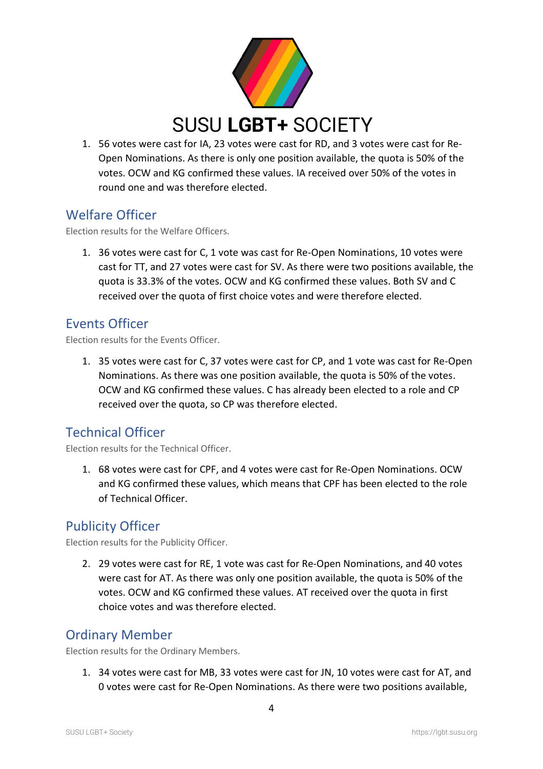

1. 56 votes were cast for IA, 23 votes were cast for RD, and 3 votes were cast for Re-Open Nominations. As there is only one position available, the quota is 50% of the votes. OCW and KG confirmed these values. IA received over 50% of the votes in round one and was therefore elected.

## Welfare Officer

Election results for the Welfare Officers.

1. 36 votes were cast for C, 1 vote was cast for Re-Open Nominations, 10 votes were cast for TT, and 27 votes were cast for SV. As there were two positions available, the quota is 33.3% of the votes. OCW and KG confirmed these values. Both SV and C received over the quota of first choice votes and were therefore elected.

## Events Officer

Election results for the Events Officer.

1. 35 votes were cast for C, 37 votes were cast for CP, and 1 vote was cast for Re-Open Nominations. As there was one position available, the quota is 50% of the votes. OCW and KG confirmed these values. C has already been elected to a role and CP received over the quota, so CP was therefore elected.

# Technical Officer

Election results for the Technical Officer.

1. 68 votes were cast for CPF, and 4 votes were cast for Re-Open Nominations. OCW and KG confirmed these values, which means that CPF has been elected to the role of Technical Officer.

## Publicity Officer

Election results for the Publicity Officer.

2. 29 votes were cast for RE, 1 vote was cast for Re-Open Nominations, and 40 votes were cast for AT. As there was only one position available, the quota is 50% of the votes. OCW and KG confirmed these values. AT received over the quota in first choice votes and was therefore elected.

## Ordinary Member

Election results for the Ordinary Members.

1. 34 votes were cast for MB, 33 votes were cast for JN, 10 votes were cast for AT, and 0 votes were cast for Re-Open Nominations. As there were two positions available,